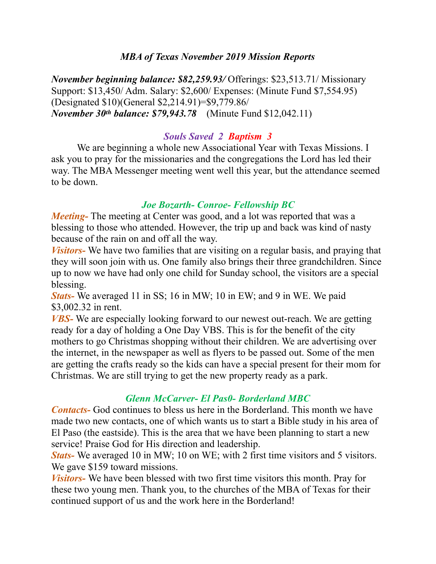### *MBA of Texas November 2019 Mission Reports*

*November beginning balance: \$82,259.93/* Offerings: \$23,513.71/ Missionary Support: \$13,450/ Adm. Salary: \$2,600/ Expenses: (Minute Fund \$7,554.95) (Designated \$10)(General \$2,214.91)=\$9,779.86/ *November 30th balance: \$79,943.78* (Minute Fund \$12,042.11)

### *Souls Saved 2 Baptism 3*

 We are beginning a whole new Associational Year with Texas Missions. I ask you to pray for the missionaries and the congregations the Lord has led their way. The MBA Messenger meeting went well this year, but the attendance seemed to be down.

### *Joe Bozarth- Conroe- Fellowship BC*

*Meeting*- The meeting at Center was good, and a lot was reported that was a blessing to those who attended. However, the trip up and back was kind of nasty because of the rain on and off all the way.

*Visitors-* We have two families that are visiting on a regular basis, and praying that they will soon join with us. One family also brings their three grandchildren. Since up to now we have had only one child for Sunday school, the visitors are a special blessing.

*Stats-* We averaged 11 in SS; 16 in MW; 10 in EW; and 9 in WE. We paid \$3,002.32 in rent.

*VBS-* We are especially looking forward to our newest out-reach. We are getting ready for a day of holding a One Day VBS. This is for the benefit of the city mothers to go Christmas shopping without their children. We are advertising over the internet, in the newspaper as well as flyers to be passed out. Some of the men are getting the crafts ready so the kids can have a special present for their mom for Christmas. We are still trying to get the new property ready as a park.

## *Glenn McCarver- El Pas0- Borderland MBC*

*Contacts-* God continues to bless us here in the Borderland. This month we have made two new contacts, one of which wants us to start a Bible study in his area of El Paso (the eastside). This is the area that we have been planning to start a new service! Praise God for His direction and leadership.

*Stats-* We averaged 10 in MW; 10 on WE; with 2 first time visitors and 5 visitors. We gave \$159 toward missions.

*Visitors-* We have been blessed with two first time visitors this month. Pray for these two young men. Thank you, to the churches of the MBA of Texas for their continued support of us and the work here in the Borderland!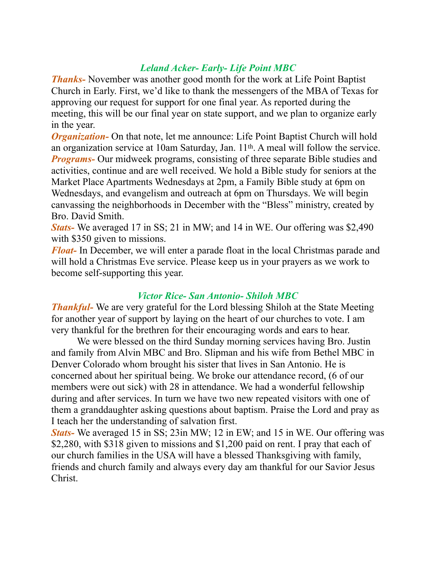# *Leland Acker- Early- Life Point MBC*

*Thanks-* November was another good month for the work at Life Point Baptist Church in Early. First, we'd like to thank the messengers of the MBA of Texas for approving our request for support for one final year. As reported during the meeting, this will be our final year on state support, and we plan to organize early in the year.

*Organization* On that note, let me announce: Life Point Baptist Church will hold an organization service at 10am Saturday, Jan. 11th. A meal will follow the service. *Programs*- Our midweek programs, consisting of three separate Bible studies and activities, continue and are well received. We hold a Bible study for seniors at the Market Place Apartments Wednesdays at 2pm, a Family Bible study at 6pm on Wednesdays, and evangelism and outreach at 6pm on Thursdays. We will begin canvassing the neighborhoods in December with the "Bless" ministry, created by Bro. David Smith.

*Stats-* We averaged 17 in SS; 21 in MW; and 14 in WE. Our offering was \$2,490 with \$350 given to missions.

*Float-* In December, we will enter a parade float in the local Christmas parade and will hold a Christmas Eve service. Please keep us in your prayers as we work to become self-supporting this year.

### *Victor Rice- San Antonio- Shiloh MBC*

*Thankful-* We are very grateful for the Lord blessing Shiloh at the State Meeting for another year of support by laying on the heart of our churches to vote. I am very thankful for the brethren for their encouraging words and ears to hear.

 We were blessed on the third Sunday morning services having Bro. Justin and family from Alvin MBC and Bro. Slipman and his wife from Bethel MBC in Denver Colorado whom brought his sister that lives in San Antonio. He is concerned about her spiritual being. We broke our attendance record, (6 of our members were out sick) with 28 in attendance. We had a wonderful fellowship during and after services. In turn we have two new repeated visitors with one of them a granddaughter asking questions about baptism. Praise the Lord and pray as I teach her the understanding of salvation first.

*Stats-* We averaged 15 in SS; 23in MW; 12 in EW; and 15 in WE. Our offering was \$2,280, with \$318 given to missions and \$1,200 paid on rent. I pray that each of our church families in the USA will have a blessed Thanksgiving with family, friends and church family and always every day am thankful for our Savior Jesus Christ.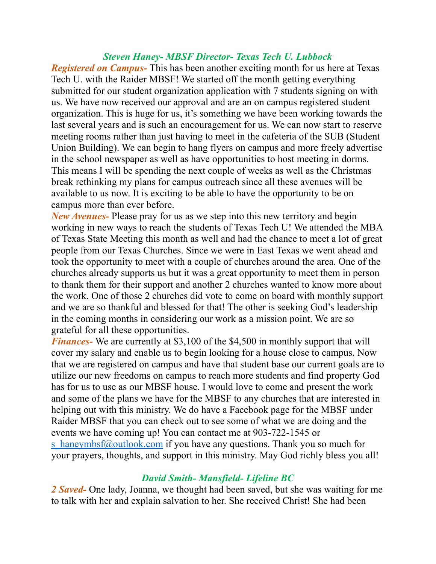### *Steven Haney- MBSF Director- Texas Tech U. Lubbock*

*Registered on Campus-* This has been another exciting month for us here at Texas Tech U. with the Raider MBSF! We started off the month getting everything submitted for our student organization application with 7 students signing on with us. We have now received our approval and are an on campus registered student organization. This is huge for us, it's something we have been working towards the last several years and is such an encouragement for us. We can now start to reserve meeting rooms rather than just having to meet in the cafeteria of the SUB (Student Union Building). We can begin to hang flyers on campus and more freely advertise in the school newspaper as well as have opportunities to host meeting in dorms. This means I will be spending the next couple of weeks as well as the Christmas break rethinking my plans for campus outreach since all these avenues will be available to us now. It is exciting to be able to have the opportunity to be on campus more than ever before.

*New Avenues-* Please pray for us as we step into this new territory and begin working in new ways to reach the students of Texas Tech U! We attended the MBA of Texas State Meeting this month as well and had the chance to meet a lot of great people from our Texas Churches. Since we were in East Texas we went ahead and took the opportunity to meet with a couple of churches around the area. One of the churches already supports us but it was a great opportunity to meet them in person to thank them for their support and another 2 churches wanted to know more about the work. One of those 2 churches did vote to come on board with monthly support and we are so thankful and blessed for that! The other is seeking God's leadership in the coming months in considering our work as a mission point. We are so grateful for all these opportunities.

*Finances*- We are currently at \$3,100 of the \$4,500 in monthly support that will cover my salary and enable us to begin looking for a house close to campus. Now that we are registered on campus and have that student base our current goals are to utilize our new freedoms on campus to reach more students and find property God has for us to use as our MBSF house. I would love to come and present the work and some of the plans we have for the MBSF to any churches that are interested in helping out with this ministry. We do have a Facebook page for the MBSF under Raider MBSF that you can check out to see some of what we are doing and the events we have coming up! You can contact me at 903-722-1545 or s haneymbsf@outlook.com if you have any questions. Thank you so much for your prayers, thoughts, and support in this ministry. May God richly bless you all!

#### *David Smith- Mansfield- Lifeline BC*

*2 Saved-* One lady, Joanna, we thought had been saved, but she was waiting for me to talk with her and explain salvation to her. She received Christ! She had been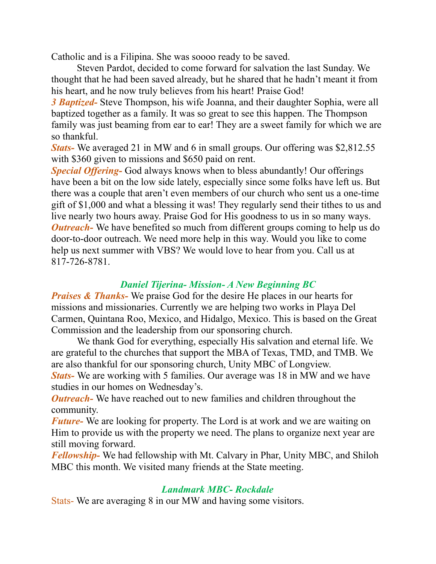Catholic and is a Filipina. She was soooo ready to be saved.

 Steven Pardot, decided to come forward for salvation the last Sunday. We thought that he had been saved already, but he shared that he hadn't meant it from his heart, and he now truly believes from his heart! Praise God!

*3 Baptized-* Steve Thompson, his wife Joanna, and their daughter Sophia, were all baptized together as a family. It was so great to see this happen. The Thompson family was just beaming from ear to ear! They are a sweet family for which we are so thankful.

*Stats-* We averaged 21 in MW and 6 in small groups. Our offering was \$2,812.55 with \$360 given to missions and \$650 paid on rent.

*Special Offering-* God always knows when to bless abundantly! Our offerings have been a bit on the low side lately, especially since some folks have left us. But there was a couple that aren't even members of our church who sent us a one-time gift of \$1,000 and what a blessing it was! They regularly send their tithes to us and live nearly two hours away. Praise God for His goodness to us in so many ways. *Outreach*- We have benefited so much from different groups coming to help us do door-to-door outreach. We need more help in this way. Would you like to come help us next summer with VBS? We would love to hear from you. Call us at 817-726-8781.

# *Daniel Tijerina- Mission- A New Beginning BC*

*Praises & Thanks*- We praise God for the desire He places in our hearts for missions and missionaries. Currently we are helping two works in Playa Del Carmen, Quintana Roo, Mexico, and Hidalgo, Mexico. This is based on the Great Commission and the leadership from our sponsoring church.

 We thank God for everything, especially His salvation and eternal life. We are grateful to the churches that support the MBA of Texas, TMD, and TMB. We are also thankful for our sponsoring church, Unity MBC of Longview.

*Stats-* We are working with 5 families. Our average was 18 in MW and we have studies in our homes on Wednesday's.

*Outreach*- We have reached out to new families and children throughout the community.

*Future-* We are looking for property. The Lord is at work and we are waiting on Him to provide us with the property we need. The plans to organize next year are still moving forward.

*Fellowship-* We had fellowship with Mt. Calvary in Phar, Unity MBC, and Shiloh MBC this month. We visited many friends at the State meeting.

## *Landmark MBC- Rockdale*

Stats- We are averaging 8 in our MW and having some visitors.